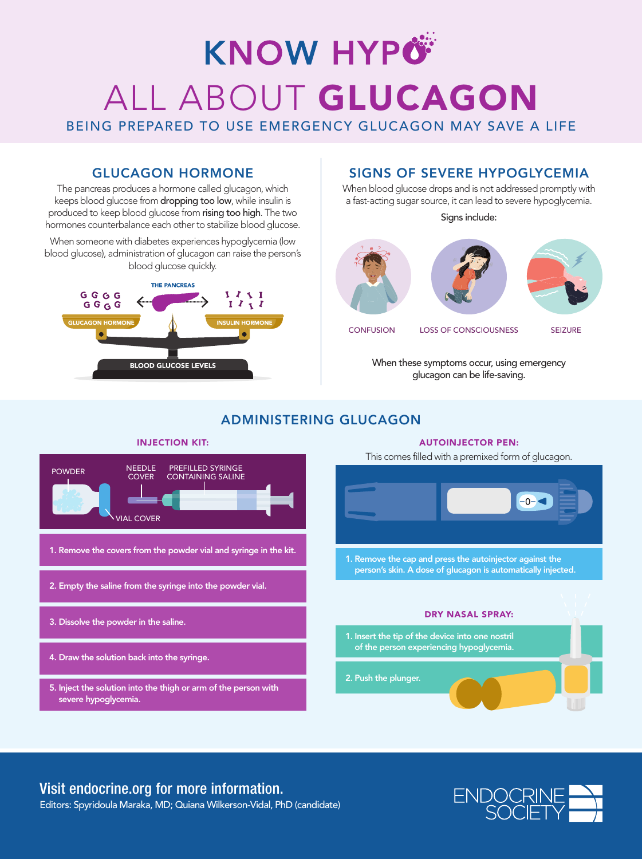# **KNOW HYPÖ** ALL ABOUT GLUCAGON

BEING PREPARED TO USE EMERGENCY GLUCAGON MAY SAVE A LIFE

### GLUCAGON HORMONE

The pancreas produces a hormone called glucagon, which keeps blood glucose from dropping too low, while insulin is produced to keep blood glucose from rising too high. The two hormones counterbalance each other to stabilize blood glucose.

When someone with diabetes experiences hypoglycemia (low blood glucose), administration of glucagon can raise the person's blood glucose quickly.



### SIGNS OF SEVERE HYPOGLYCEMIA

When blood glucose drops and is not addressed promptly with a fast-acting sugar source, it can lead to severe hypoglycemia.

Signs include:







CONFUSION LOSS OF CONSCIOUSNESS

SEIZURE

When these symptoms occur, using emergency glucagon can be life-saving.

### ADMINISTERING GLUCAGON



## Visit endocrine.org for more information.

Editors: Spyridoula Maraka, MD; Quiana Wilkerson-Vidal, PhD (candidate)



#### AUTOINJECTOR PEN: